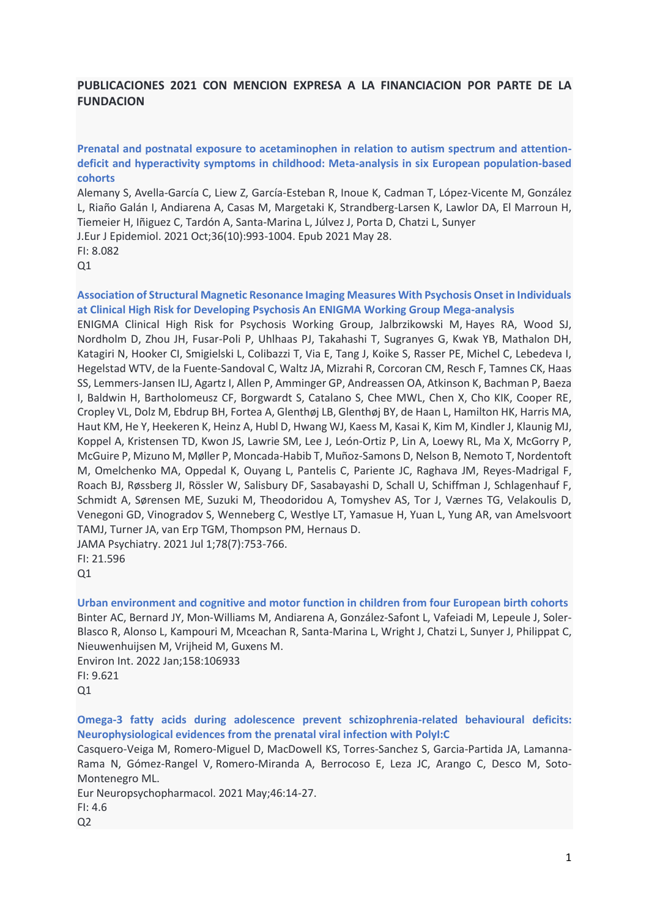# **PUBLICACIONES 2021 CON MENCION EXPRESA A LA FINANCIACION POR PARTE DE LA FUNDACION**

**Prenatal and postnatal exposure to acetaminophen in relation to autism spectrum and attentiondeficit and hyperactivity symptoms in childhood: Meta-analysis in six European population-based cohorts**

Alemany S, Avella-García C, Liew Z, García-Esteban R, Inoue K, Cadman T, López-Vicente M, González L, Riaño Galán I, Andiarena A, Casas M, Margetaki K, Strandberg-Larsen K, Lawlor DA, El Marroun H, Tiemeier H, Iñiguez C, Tardón A, Santa-Marina L, Júlvez J, Porta D, Chatzi L, Sunyer

J.Eur J Epidemiol. 2021 Oct;36(10):993-1004. Epub 2021 May 28.

 $Q1$ 

## **Association of Structural Magnetic Resonance Imaging Measures With Psychosis Onset in Individuals at Clinical High Risk for Developing Psychosis An ENIGMA Working Group Mega-analysis**

ENIGMA Clinical High Risk for Psychosis Working Group, Jalbrzikowski M, Hayes RA, Wood SJ, Nordholm D, Zhou JH, Fusar-Poli P, Uhlhaas PJ, Takahashi T, Sugranyes G, Kwak YB, Mathalon DH, Katagiri N, Hooker CI, Smigielski L, Colibazzi T, Via E, Tang J, Koike S, Rasser PE, Michel C, Lebedeva I, Hegelstad WTV, de la Fuente-Sandoval C, Waltz JA, Mizrahi R, Corcoran CM, Resch F, Tamnes CK, Haas SS, Lemmers-Jansen ILJ, Agartz I, Allen P, Amminger GP, Andreassen OA, Atkinson K, Bachman P, Baeza I, Baldwin H, Bartholomeusz CF, Borgwardt S, Catalano S, Chee MWL, Chen X, Cho KIK, Cooper RE, Cropley VL, Dolz M, Ebdrup BH, Fortea A, Glenthøj LB, Glenthøj BY, de Haan L, Hamilton HK, Harris MA, Haut KM, He Y, Heekeren K, Heinz A, Hubl D, Hwang WJ, Kaess M, Kasai K, Kim M, Kindler J, Klaunig MJ, Koppel A, Kristensen TD, Kwon JS, Lawrie SM, Lee J, León-Ortiz P, Lin A, Loewy RL, Ma X, McGorry P, McGuire P, Mizuno M, Møller P, Moncada-Habib T, Muñoz-Samons D, Nelson B, Nemoto T, Nordentoft M, Omelchenko MA, Oppedal K, Ouyang L, Pantelis C, Pariente JC, Raghava JM, Reyes-Madrigal F, Roach BJ, Røssberg JI, Rössler W, Salisbury DF, Sasabayashi D, Schall U, Schiffman J, Schlagenhauf F, Schmidt A, Sørensen ME, Suzuki M, Theodoridou A, Tomyshev AS, Tor J, Værnes TG, Velakoulis D, Venegoni GD, Vinogradov S, Wenneberg C, Westlye LT, Yamasue H, Yuan L, Yung AR, van Amelsvoort TAMJ, Turner JA, van Erp TGM, Thompson PM, Hernaus D.

JAMA Psychiatry. 2021 Jul 1;78(7):753-766. FI: 21.596

Q1

**Urban environment and cognitive and motor function in children from four European birth cohorts** Binter AC, Bernard JY, Mon-Williams M, Andiarena A, González-Safont L, Vafeiadi M, Lepeule J, Soler-Blasco R, Alonso L, Kampouri M, Mceachan R, Santa-Marina L, Wright J, Chatzi L, Sunyer J, Philippat C, Nieuwenhuijsen M, Vrijheid M, Guxens M. Environ Int. 2022 Jan;158:106933

FI: 9.621  $O<sub>1</sub>$ 

**Omega-3 fatty acids during adolescence prevent schizophrenia-related behavioural deficits: Neurophysiological evidences from the prenatal viral infection with PolyI:C**

Casquero-Veiga M, Romero-Miguel D, MacDowell KS, Torres-Sanchez S, Garcia-Partida JA, Lamanna-Rama N, Gómez-Rangel V, Romero-Miranda A, Berrocoso E, Leza JC, Arango C, Desco M, Soto-Montenegro ML.

Eur Neuropsychopharmacol. 2021 May;46:14-27.

FI: 4.6

 $Q<sub>2</sub>$ 

FI: 8.082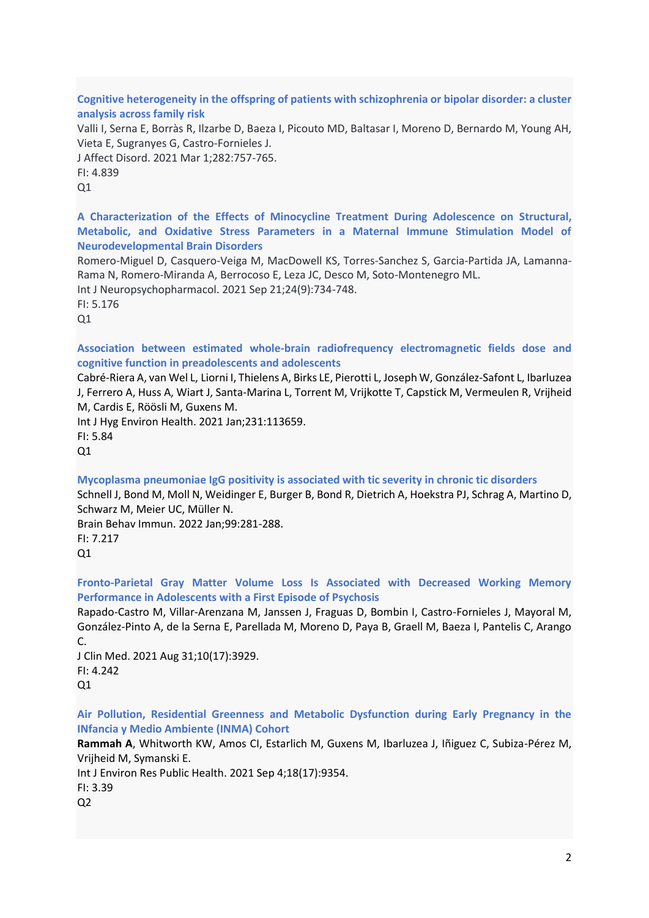**Cognitive heterogeneity in the offspring of patients with schizophrenia or bipolar disorder: a cluster analysis across family risk**

Valli I, Serna E, Borràs R, Ilzarbe D, Baeza I, Picouto MD, Baltasar I, Moreno D, Bernardo M, Young AH, Vieta E, Sugranyes G, Castro-Fornieles J.

J Affect Disord. 2021 Mar 1;282:757-765.

FI: 4.839

 $O<sub>1</sub>$ 

**A Characterization of the Effects of Minocycline Treatment During Adolescence on Structural, Metabolic, and Oxidative Stress Parameters in a Maternal Immune Stimulation Model of Neurodevelopmental Brain Disorders**

Romero-Miguel D, Casquero-Veiga M, MacDowell KS, Torres-Sanchez S, Garcia-Partida JA, Lamanna-Rama N, Romero-Miranda A, Berrocoso E, Leza JC, Desco M, Soto-Montenegro ML. Int J Neuropsychopharmacol. 2021 Sep 21;24(9):734-748.

FI: 5.176  $O<sub>1</sub>$ 

**Association between estimated whole-brain radiofrequency electromagnetic fields dose and cognitive function in preadolescents and adolescents**

Cabré-Riera A, van Wel L, Liorni I, Thielens A, Birks LE, Pierotti L, Joseph W, González-Safont L, Ibarluzea J, Ferrero A, Huss A, Wiart J, Santa-Marina L, Torrent M, Vrijkotte T, Capstick M, Vermeulen R, Vrijheid M, Cardis E, Röösli M, Guxens M.

Int J Hyg Environ Health. 2021 Jan;231:113659. FI: 5.84

 $O<sub>1</sub>$ 

**Mycoplasma pneumoniae IgG positivity is associated with tic severity in chronic tic disorders** Schnell J, Bond M, Moll N, Weidinger E, Burger B, Bond R, Dietrich A, Hoekstra PJ, Schrag A, Martino D, Schwarz M, Meier UC, Müller N.

Brain Behav Immun. 2022 Jan;99:281-288. FI: 7.217

 $Q1$ 

**Fronto-Parietal Gray Matter Volume Loss Is Associated with Decreased Working Memory Performance in Adolescents with a First Episode of Psychosis**

Rapado-Castro M, Villar-Arenzana M, Janssen J, Fraguas D, Bombin I, Castro-Fornieles J, Mayoral M, González-Pinto A, de la Serna E, Parellada M, Moreno D, Paya B, Graell M, Baeza I, Pantelis C, Arango C.

J Clin Med. 2021 Aug 31;10(17):3929. FI: 4.242 Q1

**Air Pollution, Residential Greenness and Metabolic Dysfunction during Early Pregnancy in the INfancia y Medio Ambiente (INMA) Cohort**

**Rammah A**, Whitworth KW, Amos CI, Estarlich M, Guxens M, Ibarluzea J, Iñiguez C, Subiza-Pérez M, Vrijheid M, Symanski E.

Int J Environ Res Public Health. 2021 Sep 4;18(17):9354.

FI: 3.39

 $O<sub>2</sub>$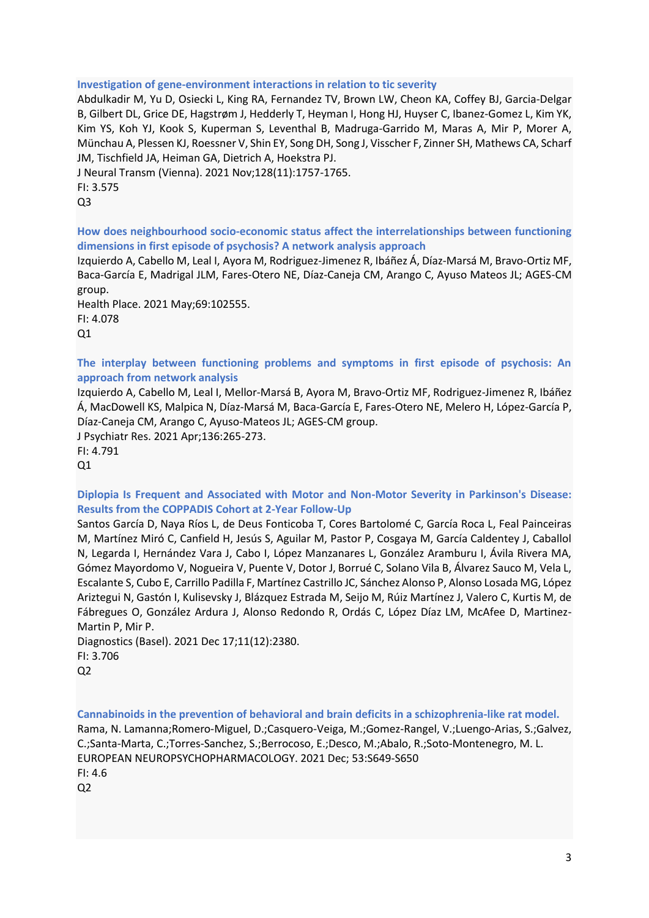#### **Investigation of gene-environment interactions in relation to tic severity**

Abdulkadir M, Yu D, Osiecki L, King RA, Fernandez TV, Brown LW, Cheon KA, Coffey BJ, Garcia-Delgar B, Gilbert DL, Grice DE, Hagstrøm J, Hedderly T, Heyman I, Hong HJ, Huyser C, Ibanez-Gomez L, Kim YK, Kim YS, Koh YJ, Kook S, Kuperman S, Leventhal B, Madruga-Garrido M, Maras A, Mir P, Morer A, Münchau A, Plessen KJ, Roessner V, Shin EY, Song DH, Song J, Visscher F, Zinner SH, Mathews CA, Scharf JM, Tischfield JA, Heiman GA, Dietrich A, Hoekstra PJ.

J Neural Transm (Vienna). 2021 Nov;128(11):1757-1765.

FI: 3.575

Q3

**How does neighbourhood socio-economic status affect the interrelationships between functioning dimensions in first episode of psychosis? A network analysis approach**

Izquierdo A, Cabello M, Leal I, Ayora M, Rodriguez-Jimenez R, Ibáñez Á, Díaz-Marsá M, Bravo-Ortiz MF, Baca-García E, Madrigal JLM, Fares-Otero NE, Díaz-Caneja CM, Arango C, Ayuso Mateos JL; AGES-CM group.

Health Place. 2021 May;69:102555. FI: 4.078  $Q1$ 

**The interplay between functioning problems and symptoms in first episode of psychosis: An approach from network analysis**

Izquierdo A, Cabello M, Leal I, Mellor-Marsá B, Ayora M, Bravo-Ortiz MF, Rodriguez-Jimenez R, Ibáñez Á, MacDowell KS, Malpica N, Díaz-Marsá M, Baca-García E, Fares-Otero NE, Melero H, López-García P, Díaz-Caneja CM, Arango C, Ayuso-Mateos JL; AGES-CM group.

J Psychiatr Res. 2021 Apr;136:265-273.

FI: 4.791

 $Q1$ 

**Diplopia Is Frequent and Associated with Motor and Non-Motor Severity in Parkinson's Disease: Results from the COPPADIS Cohort at 2-Year Follow-Up**

Santos García D, Naya Ríos L, de Deus Fonticoba T, Cores Bartolomé C, García Roca L, Feal Painceiras M, Martínez Miró C, Canfield H, Jesús S, Aguilar M, Pastor P, Cosgaya M, García Caldentey J, Caballol N, Legarda I, Hernández Vara J, Cabo I, López Manzanares L, González Aramburu I, Ávila Rivera MA, Gómez Mayordomo V, Nogueira V, Puente V, Dotor J, Borrué C, Solano Vila B, Álvarez Sauco M, Vela L, Escalante S, Cubo E, Carrillo Padilla F, Martínez Castrillo JC, Sánchez Alonso P, Alonso Losada MG, López Ariztegui N, Gastón I, Kulisevsky J, Blázquez Estrada M, Seijo M, Rúiz Martínez J, Valero C, Kurtis M, de Fábregues O, González Ardura J, Alonso Redondo R, Ordás C, López Díaz LM, McAfee D, Martinez-Martin P, Mir P.

Diagnostics (Basel). 2021 Dec 17;11(12):2380. FI: 3.706 Q2

**Cannabinoids in the prevention of behavioral and brain deficits in a schizophrenia-like rat model.**

Rama, N. Lamanna;Romero-Miguel, D.;Casquero-Veiga, M.;Gomez-Rangel, V.;Luengo-Arias, S.;Galvez, C.;Santa-Marta, C.;Torres-Sanchez, S.;Berrocoso, E.;Desco, M.;Abalo, R.;Soto-Montenegro, M. L. [EUROPEAN NEUROPSYCHOPHARMACOLOGY.](javascript:void(0)) 2021 Dec; 53:S649-S650

FI: 4.6  $Q<sub>2</sub>$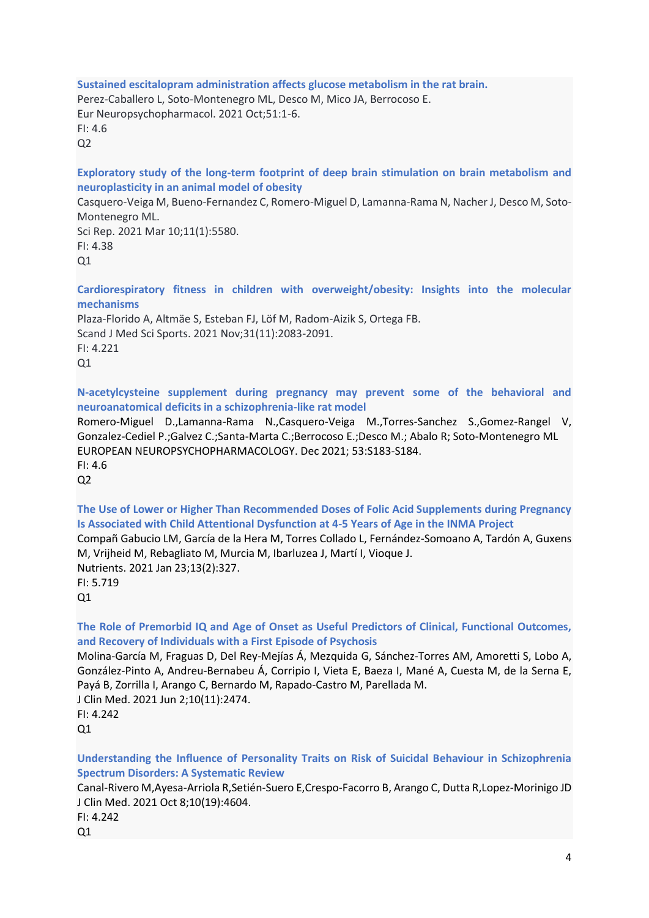**Sustained escitalopram administration affects glucose metabolism in the rat brain.** Perez-Caballero L, Soto-Montenegro ML, Desco M, Mico JA, Berrocoso E. Eur Neuropsychopharmacol. 2021 Oct;51:1-6. FI: 4.6  $Q<sub>2</sub>$ 

**Exploratory study of the long-term footprint of deep brain stimulation on brain metabolism and neuroplasticity in an animal model of obesity**

Casquero-Veiga M, Bueno-Fernandez C, Romero-Miguel D, Lamanna-Rama N, Nacher J, Desco M, Soto-Montenegro ML.

Sci Rep. 2021 Mar 10;11(1):5580. FI: 4.38  $Q1$ 

**Cardiorespiratory fitness in children with overweight/obesity: Insights into the molecular mechanisms**

Plaza-Florido A, Altmäe S, Esteban FJ, Löf M, Radom-Aizik S, Ortega FB. Scand J Med Sci Sports. 2021 Nov;31(11):2083-2091. FI: 4.221 Q1

**N-acetylcysteine supplement during pregnancy may prevent some of the behavioral and neuroanatomical deficits in a schizophrenia-like rat model**

Romero-Miguel D.,Lamanna-Rama N.,Casquero-Veiga M.,Torres-Sanchez S.,Gomez-Rangel V, Gonzalez-Cediel P.;Galvez C.;Santa-Marta C.;Berrocoso E.;Desco M.; Abalo R; Soto-Montenegro ML [EUROPEAN NEUROPSYCHOPHARMACOLOGY.](javascript:void(0)) Dec 2021; 53:S183-S184.

FI: 4.6  $Q<sub>2</sub>$ 

**The Use of Lower or Higher Than Recommended Doses of Folic Acid Supplements during Pregnancy Is Associated with Child Attentional Dysfunction at 4-5 Years of Age in the INMA Project**

Compañ Gabucio LM, García de la Hera M, Torres Collado L, Fernández-Somoano A, Tardón A, Guxens M, Vrijheid M, Rebagliato M, Murcia M, Ibarluzea J, Martí I, Vioque J. Nutrients. 2021 Jan 23;13(2):327. FI: 5.719  $O<sub>1</sub>$ 

**The Role of Premorbid IQ and Age of Onset as Useful Predictors of Clinical, Functional Outcomes, and Recovery of Individuals with a First Episode of Psychosis**

Molina-García M, Fraguas D, Del Rey-Mejías Á, Mezquida G, Sánchez-Torres AM, Amoretti S, Lobo A, González-Pinto A, Andreu-Bernabeu Á, Corripio I, Vieta E, Baeza I, Mané A, Cuesta M, de la Serna E, Payá B, Zorrilla I, Arango C, Bernardo M, Rapado-Castro M, Parellada M. J Clin Med. 2021 Jun 2;10(11):2474.

FI: 4.242 Q1

**Understanding the Influence of Personality Traits on Risk of Suicidal Behaviour in Schizophrenia Spectrum Disorders: A Systematic Review**

Canal-Rivero M,Ayesa-Arriola R,Setién-Suero E,Crespo-Facorro B, Arango C, Dutta R,Lopez-Morinigo JD J Clin Med. 2021 Oct 8;10(19):4604.

FI: 4.242  $Q1$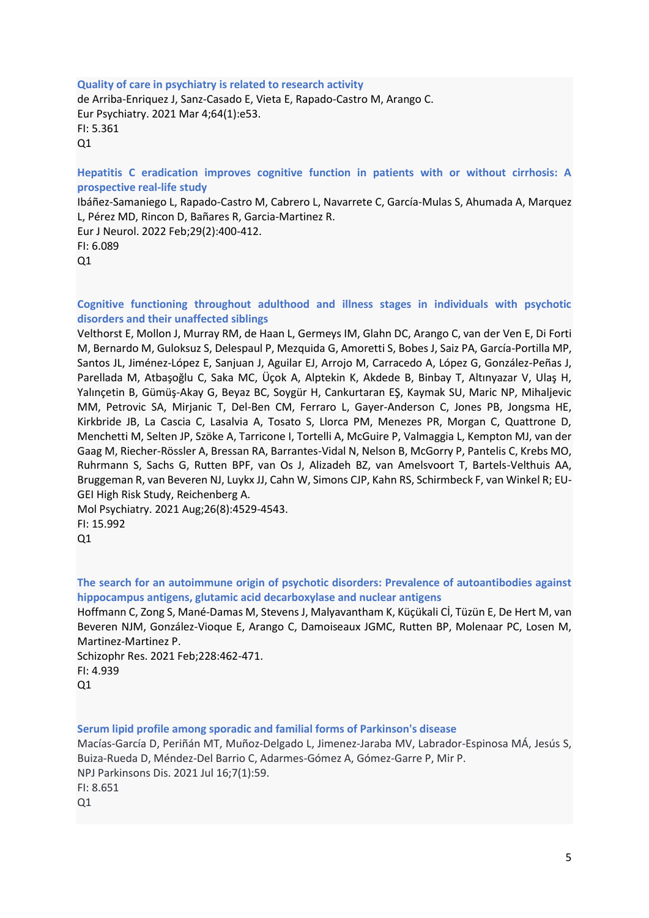#### **Quality of care in psychiatry is related to research activity**

de Arriba-Enriquez J, Sanz-Casado E, Vieta E, Rapado-Castro M, Arango C. Eur Psychiatry. 2021 Mar 4;64(1):e53. FI: 5.361 Q1

**Hepatitis C eradication improves cognitive function in patients with or without cirrhosis: A prospective real-life study**

Ibáñez-Samaniego L, Rapado-Castro M, Cabrero L, Navarrete C, García-Mulas S, Ahumada A, Marquez L, Pérez MD, Rincon D, Bañares R, Garcia-Martinez R.

Eur J Neurol. 2022 Feb;29(2):400-412. FI: 6.089

Q1

**Cognitive functioning throughout adulthood and illness stages in individuals with psychotic disorders and their unaffected siblings**

Velthorst E, Mollon J, Murray RM, de Haan L, Germeys IM, Glahn DC, Arango C, van der Ven E, Di Forti M, Bernardo M, Guloksuz S, Delespaul P, Mezquida G, Amoretti S, Bobes J, Saiz PA, García-Portilla MP, Santos JL, Jiménez-López E, Sanjuan J, Aguilar EJ, Arrojo M, Carracedo A, López G, González-Peñas J, Parellada M, Atbaşoğlu C, Saka MC, Üçok A, Alptekin K, Akdede B, Binbay T, Altınyazar V, Ulaş H, Yalınçetin B, Gümüş-Akay G, Beyaz BC, Soygür H, Cankurtaran EŞ, Kaymak SU, Maric NP, Mihaljevic MM, Petrovic SA, Mirjanic T, Del-Ben CM, Ferraro L, Gayer-Anderson C, Jones PB, Jongsma HE, Kirkbride JB, La Cascia C, Lasalvia A, Tosato S, Llorca PM, Menezes PR, Morgan C, Quattrone D, Menchetti M, Selten JP, Szöke A, Tarricone I, Tortelli A, McGuire P, Valmaggia L, Kempton MJ, van der Gaag M, Riecher-Rössler A, Bressan RA, Barrantes-Vidal N, Nelson B, McGorry P, Pantelis C, Krebs MO, Ruhrmann S, Sachs G, Rutten BPF, van Os J, Alizadeh BZ, van Amelsvoort T, Bartels-Velthuis AA, Bruggeman R, van Beveren NJ, Luykx JJ, Cahn W, Simons CJP, Kahn RS, Schirmbeck F, van Winkel R; EU-GEI High Risk Study, Reichenberg A.

Mol Psychiatry. 2021 Aug;26(8):4529-4543. FI: 15.992 Q1

**The search for an autoimmune origin of psychotic disorders: Prevalence of autoantibodies against hippocampus antigens, glutamic acid decarboxylase and nuclear antigens**

Hoffmann C, Zong S, Mané-Damas M, Stevens J, Malyavantham K, Küçükali Cİ, Tüzün E, De Hert M, van Beveren NJM, González-Vioque E, Arango C, Damoiseaux JGMC, Rutten BP, Molenaar PC, Losen M, Martinez-Martinez P.

Schizophr Res. 2021 Feb;228:462-471. FI: 4.939 Q1

**Serum lipid profile among sporadic and familial forms of Parkinson's disease**

Macías-García D, Periñán MT, Muñoz-Delgado L, Jimenez-Jaraba MV, Labrador-Espinosa MÁ, Jesús S, Buiza-Rueda D, Méndez-Del Barrio C, Adarmes-Gómez A, Gómez-Garre P, Mir P. NPJ Parkinsons Dis. 2021 Jul 16;7(1):59. FI: 8.651 Q1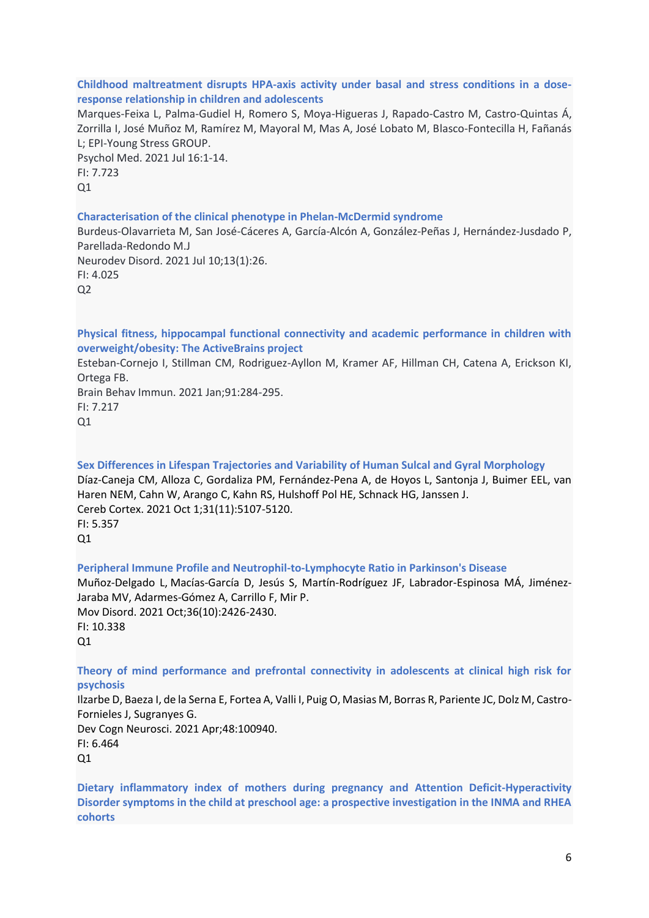#### **Childhood maltreatment disrupts HPA-axis activity under basal and stress conditions in a doseresponse relationship in children and adolescents**

Marques-Feixa L, Palma-Gudiel H, Romero S, Moya-Higueras J, Rapado-Castro M, Castro-Quintas Á, Zorrilla I, José Muñoz M, Ramírez M, Mayoral M, Mas A, José Lobato M, Blasco-Fontecilla H, Fañanás L; EPI-Young Stress GROUP.

Psychol Med. 2021 Jul 16:1-14. FI: 7.723  $O<sub>1</sub>$ 

#### **Characterisation of the clinical phenotype in Phelan-McDermid syndrome**

Burdeus-Olavarrieta M, San José-Cáceres A, García-Alcón A, González-Peñas J, Hernández-Jusdado P, Parellada-Redondo M.J Neurodev Disord. 2021 Jul 10;13(1):26. FI: 4.025

 $Q<sub>2</sub>$ 

**Physical fitness, hippocampal functional connectivity and academic performance in children with overweight/obesity: The ActiveBrains project**

Esteban-Cornejo I, Stillman CM, Rodriguez-Ayllon M, Kramer AF, Hillman CH, Catena A, Erickson KI, Ortega FB.

Brain Behav Immun. 2021 Jan;91:284-295. FI: 7.217 Q1

**Sex Differences in Lifespan Trajectories and Variability of Human Sulcal and Gyral Morphology** Díaz-Caneja CM, Alloza C, Gordaliza PM, Fernández-Pena A, de Hoyos L, Santonja J, Buimer EEL, van Haren NEM, Cahn W, Arango C, Kahn RS, Hulshoff Pol HE, Schnack HG, Janssen J. Cereb Cortex. 2021 Oct 1;31(11):5107-5120. FI: 5.357  $O<sub>1</sub>$ 

**Peripheral Immune Profile and Neutrophil-to-Lymphocyte Ratio in Parkinson's Disease** Muñoz-Delgado L, Macías-García D, Jesús S, Martín-Rodríguez JF, Labrador-Espinosa MÁ, Jiménez-Jaraba MV, Adarmes-Gómez A, Carrillo F, Mir P. Mov Disord. 2021 Oct;36(10):2426-2430. FI: 10.338  $O<sub>1</sub>$ 

**Theory of mind performance and prefrontal connectivity in adolescents at clinical high risk for psychosis**

Ilzarbe D, Baeza I, de la Serna E, Fortea A, Valli I, Puig O, Masias M, Borras R, Pariente JC, Dolz M, Castro-Fornieles J, Sugranyes G. Dev Cogn Neurosci. 2021 Apr;48:100940. FI: 6.464

 $Q1$ 

**Dietary inflammatory index of mothers during pregnancy and Attention Deficit-Hyperactivity Disorder symptoms in the child at preschool age: a prospective investigation in the INMA and RHEA cohorts**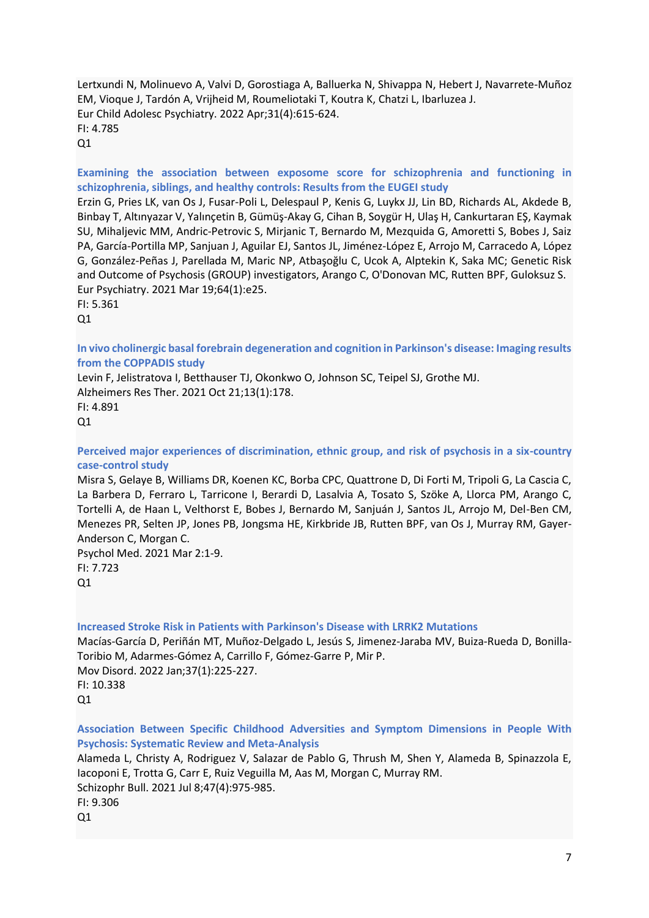Lertxundi N, Molinuevo A, Valvi D, Gorostiaga A, Balluerka N, Shivappa N, Hebert J, Navarrete-Muñoz EM, Vioque J, Tardón A, Vrijheid M, Roumeliotaki T, Koutra K, Chatzi L, Ibarluzea J. Eur Child Adolesc Psychiatry. 2022 Apr;31(4):615-624. FI: 4.785 Q1

**Examining the association between exposome score for schizophrenia and functioning in schizophrenia, siblings, and healthy controls: Results from the EUGEI study**

Erzin G, Pries LK, van Os J, Fusar-Poli L, Delespaul P, Kenis G, Luykx JJ, Lin BD, Richards AL, Akdede B, Binbay T, Altınyazar V, Yalınçetin B, Gümüş-Akay G, Cihan B, Soygür H, Ulaş H, Cankurtaran EŞ, Kaymak SU, Mihaljevic MM, Andric-Petrovic S, Mirjanic T, Bernardo M, Mezquida G, Amoretti S, Bobes J, Saiz PA, García-Portilla MP, Sanjuan J, Aguilar EJ, Santos JL, Jiménez-López E, Arrojo M, Carracedo A, López G, González-Peñas J, Parellada M, Maric NP, Atbaşoğlu C, Ucok A, Alptekin K, Saka MC; Genetic Risk and Outcome of Psychosis (GROUP) investigators, Arango C, O'Donovan MC, Rutten BPF, Guloksuz S. Eur Psychiatry. 2021 Mar 19;64(1):e25.

FI: 5.361

 $O<sub>1</sub>$ 

**In vivo cholinergic basal forebrain degeneration and cognition in Parkinson's disease: Imaging results from the COPPADIS study**

Levin F, Jelistratova I, Betthauser TJ, Okonkwo O, Johnson SC, Teipel SJ, Grothe MJ. Alzheimers Res Ther. 2021 Oct 21;13(1):178. FI: 4.891  $Q1$ 

**Perceived major experiences of discrimination, ethnic group, and risk of psychosis in a six-country case-control study**

Misra S, Gelaye B, Williams DR, Koenen KC, Borba CPC, Quattrone D, Di Forti M, Tripoli G, La Cascia C, La Barbera D, Ferraro L, Tarricone I, Berardi D, Lasalvia A, Tosato S, Szöke A, Llorca PM, Arango C, Tortelli A, de Haan L, Velthorst E, Bobes J, Bernardo M, Sanjuán J, Santos JL, Arrojo M, Del-Ben CM, Menezes PR, Selten JP, Jones PB, Jongsma HE, Kirkbride JB, Rutten BPF, van Os J, Murray RM, Gayer-Anderson C, Morgan C.

Psychol Med. 2021 Mar 2:1-9. FI: 7.723  $Q1$ 

**Increased Stroke Risk in Patients with Parkinson's Disease with LRRK2 Mutations**

Macías-García D, Periñán MT, Muñoz-Delgado L, Jesús S, Jimenez-Jaraba MV, Buiza-Rueda D, Bonilla-Toribio M, Adarmes-Gómez A, Carrillo F, Gómez-Garre P, Mir P. Mov Disord. 2022 Jan;37(1):225-227. FI: 10.338  $O<sub>1</sub>$ 

**Association Between Specific Childhood Adversities and Symptom Dimensions in People With Psychosis: Systematic Review and Meta-Analysis**

Alameda L, Christy A, Rodriguez V, Salazar de Pablo G, Thrush M, Shen Y, Alameda B, Spinazzola E, Iacoponi E, Trotta G, Carr E, Ruiz Veguilla M, Aas M, Morgan C, Murray RM. Schizophr Bull. 2021 Jul 8;47(4):975-985. FI: 9.306 Q1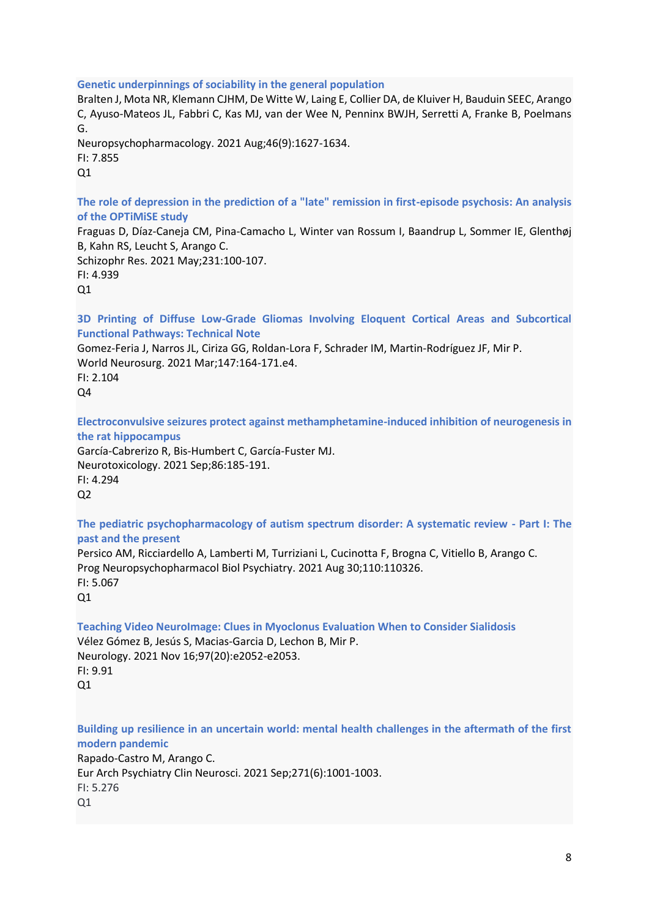#### **Genetic underpinnings of sociability in the general population**

Bralten J, Mota NR, Klemann CJHM, De Witte W, Laing E, Collier DA, de Kluiver H, Bauduin SEEC, Arango C, Ayuso-Mateos JL, Fabbri C, Kas MJ, van der Wee N, Penninx BWJH, Serretti A, Franke B, Poelmans G.

Neuropsychopharmacology. 2021 Aug;46(9):1627-1634. FI: 7.855  $O<sub>1</sub>$ 

**The role of depression in the prediction of a "late" remission in first-episode psychosis: An analysis of the OPTiMiSE study**

Fraguas D, Díaz-Caneja CM, Pina-Camacho L, Winter van Rossum I, Baandrup L, Sommer IE, Glenthøj B, Kahn RS, Leucht S, Arango C.

Schizophr Res. 2021 May;231:100-107. FI: 4.939 Q1

**3D Printing of Diffuse Low-Grade Gliomas Involving Eloquent Cortical Areas and Subcortical Functional Pathways: Technical Note**

Gomez-Feria J, Narros JL, Ciriza GG, Roldan-Lora F, Schrader IM, Martin-Rodríguez JF, Mir P. World Neurosurg. 2021 Mar;147:164-171.e4.

FI: 2.104 Q4

**Electroconvulsive seizures protect against methamphetamine-induced inhibition of neurogenesis in the rat hippocampus**

García-Cabrerizo R, Bis-Humbert C, García-Fuster MJ. Neurotoxicology. 2021 Sep;86:185-191. FI: 4.294 Q2

**The pediatric psychopharmacology of autism spectrum disorder: A systematic review - Part I: The past and the present**

Persico AM, Ricciardello A, Lamberti M, Turriziani L, Cucinotta F, Brogna C, Vitiello B, Arango C. Prog Neuropsychopharmacol Biol Psychiatry. 2021 Aug 30;110:110326.  $FI: 5.067$  $O<sub>1</sub>$ 

**Teaching Video NeuroImage: Clues in Myoclonus Evaluation When to Consider Sialidosis** Vélez Gómez B, Jesús S, Macias-Garcia D, Lechon B, Mir P. Neurology. 2021 Nov 16;97(20):e2052-e2053. FI: 9.91 Q1

**Building up resilience in an uncertain world: mental health challenges in the aftermath of the first modern pandemic** Rapado-Castro M, Arango C. Eur Arch Psychiatry Clin Neurosci. 2021 Sep;271(6):1001-1003. FI: 5.276  $O<sub>1</sub>$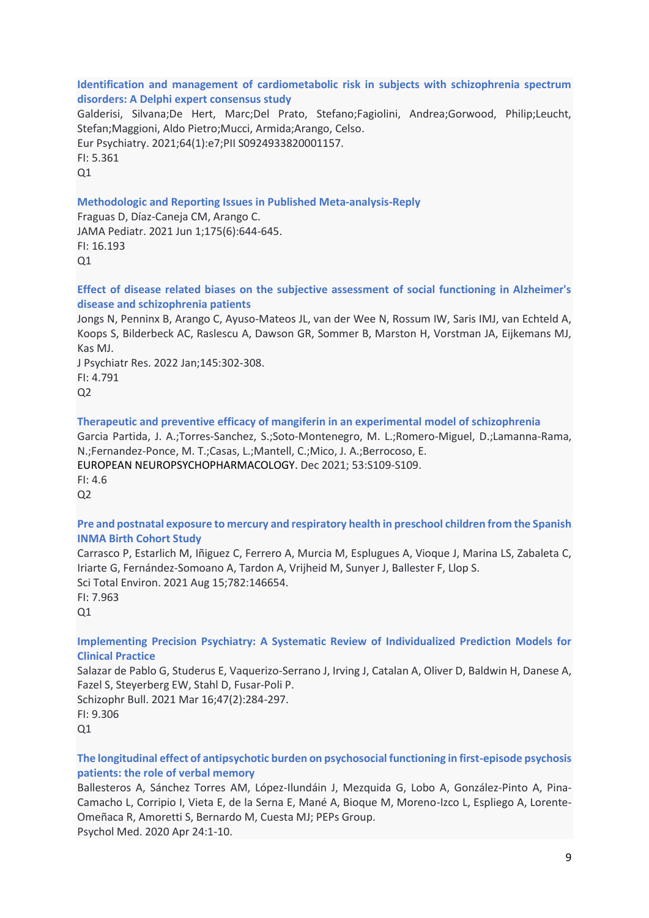#### **Identification and management of cardiometabolic risk in subjects with schizophrenia spectrum disorders: A Delphi expert consensus study**

Galderisi, Silvana;De Hert, Marc;Del Prato, Stefano;Fagiolini, Andrea;Gorwood, Philip;Leucht, Stefan;Maggioni, Aldo Pietro;Mucci, Armida;Arango, Celso. Eur Psychiatry. 2021;64(1):e7;PII S0924933820001157. FI: 5.361

 $Q1$ 

## **Methodologic and Reporting Issues in Published Meta-analysis-Reply**

Fraguas D, Díaz-Caneja CM, Arango C. JAMA Pediatr. 2021 Jun 1;175(6):644-645. FI: 16.193  $O<sub>1</sub>$ 

**Effect of disease related biases on the subjective assessment of social functioning in Alzheimer's disease and schizophrenia patients**

Jongs N, Penninx B, Arango C, Ayuso-Mateos JL, van der Wee N, Rossum IW, Saris IMJ, van Echteld A, Koops S, Bilderbeck AC, Raslescu A, Dawson GR, Sommer B, Marston H, Vorstman JA, Eijkemans MJ, Kas MJ.

J Psychiatr Res. 2022 Jan;145:302-308. FI: 4.791  $Q<sub>2</sub>$ 

## **Therapeutic and preventive efficacy of mangiferin in an experimental model of schizophrenia**

Garcia Partida, J. A.;Torres-Sanchez, S.;Soto-Montenegro, M. L.;Romero-Miguel, D.;Lamanna-Rama, N.;Fernandez-Ponce, M. T.;Casas, L.;Mantell, C.;Mico, J. A.;Berrocoso, E.

[EUROPEAN NEUROPSYCHOPHARMACOLOGY.](javascript:void(0)) Dec 2021; 53:S109-S109.

FI: 4.6 Q2

## **Pre and postnatal exposure to mercury and respiratory health in preschool children from the Spanish INMA Birth Cohort Study**

Carrasco P, Estarlich M, Iñiguez C, Ferrero A, Murcia M, Esplugues A, Vioque J, Marina LS, Zabaleta C, Iriarte G, Fernández-Somoano A, Tardon A, Vrijheid M, Sunyer J, Ballester F, Llop S. Sci Total Environ. 2021 Aug 15;782:146654. FI: 7.963

 $Q1$ 

## **Implementing Precision Psychiatry: A Systematic Review of Individualized Prediction Models for Clinical Practice**

Salazar de Pablo G, Studerus E, Vaquerizo-Serrano J, Irving J, Catalan A, Oliver D, Baldwin H, Danese A, Fazel S, Steyerberg EW, Stahl D, Fusar-Poli P.

Schizophr Bull. 2021 Mar 16;47(2):284-297. FI: 9.306 Q1

## **The longitudinal effect of antipsychotic burden on psychosocial functioning in first-episode psychosis patients: the role of verbal memory**

Ballesteros A, Sánchez Torres AM, López-Ilundáin J, Mezquida G, Lobo A, González-Pinto A, Pina-Camacho L, Corripio I, Vieta E, de la Serna E, Mané A, Bioque M, Moreno-Izco L, Espliego A, Lorente-Omeñaca R, Amoretti S, Bernardo M, Cuesta MJ; PEPs Group.

Psychol Med. 2020 Apr 24:1-10.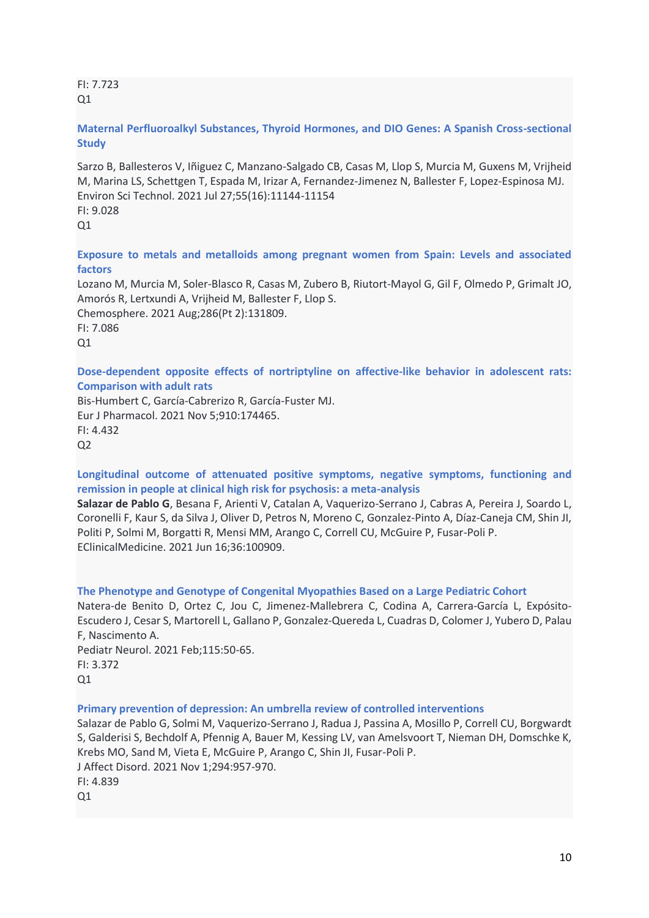FI: 7.723  $O<sub>1</sub>$ 

# **Maternal Perfluoroalkyl Substances, Thyroid Hormones, and DIO Genes: A Spanish Cross-sectional Study**

Sarzo B, Ballesteros V, Iñiguez C, Manzano-Salgado CB, Casas M, Llop S, Murcia M, Guxens M, Vrijheid M, Marina LS, Schettgen T, Espada M, Irizar A, Fernandez-Jimenez N, Ballester F, Lopez-Espinosa MJ. Environ Sci Technol. 2021 Jul 27;55(16):11144-11154 FI: 9.028  $O<sub>1</sub>$ 

**Exposure to metals and metalloids among pregnant women from Spain: Levels and associated factors**

Lozano M, Murcia M, Soler-Blasco R, Casas M, Zubero B, Riutort-Mayol G, Gil F, Olmedo P, Grimalt JO, Amorós R, Lertxundi A, Vrijheid M, Ballester F, Llop S. Chemosphere. 2021 Aug;286(Pt 2):131809. FI: 7.086  $Q1$ 

**Dose-dependent opposite effects of nortriptyline on affective-like behavior in adolescent rats: Comparison with adult rats**

Bis-Humbert C, García-Cabrerizo R, García-Fuster MJ. Eur J Pharmacol. 2021 Nov 5;910:174465. FI: 4.432  $Q<sub>2</sub>$ 

# **Longitudinal outcome of attenuated positive symptoms, negative symptoms, functioning and remission in people at clinical high risk for psychosis: a meta-analysis**

**Salazar de Pablo G**, Besana F, Arienti V, Catalan A, Vaquerizo-Serrano J, Cabras A, Pereira J, Soardo L, Coronelli F, Kaur S, da Silva J, Oliver D, Petros N, Moreno C, Gonzalez-Pinto A, Díaz-Caneja CM, Shin JI, Politi P, Solmi M, Borgatti R, Mensi MM, Arango C, Correll CU, McGuire P, Fusar-Poli P. EClinicalMedicine. 2021 Jun 16;36:100909.

#### **The Phenotype and Genotype of Congenital Myopathies Based on a Large Pediatric Cohort**

Natera-de Benito D, Ortez C, Jou C, Jimenez-Mallebrera C, Codina A, Carrera-García L, Expósito-Escudero J, Cesar S, Martorell L, Gallano P, Gonzalez-Quereda L, Cuadras D, Colomer J, Yubero D, Palau F, Nascimento A. Pediatr Neurol. 2021 Feb;115:50-65. FI: 3.372

Q1

**Primary prevention of depression: An umbrella review of controlled interventions**

Salazar de Pablo G, Solmi M, Vaquerizo-Serrano J, Radua J, Passina A, Mosillo P, Correll CU, Borgwardt S, Galderisi S, Bechdolf A, Pfennig A, Bauer M, Kessing LV, van Amelsvoort T, Nieman DH, Domschke K, Krebs MO, Sand M, Vieta E, McGuire P, Arango C, Shin JI, Fusar-Poli P. J Affect Disord. 2021 Nov 1;294:957-970. FI: 4.839  $Q1$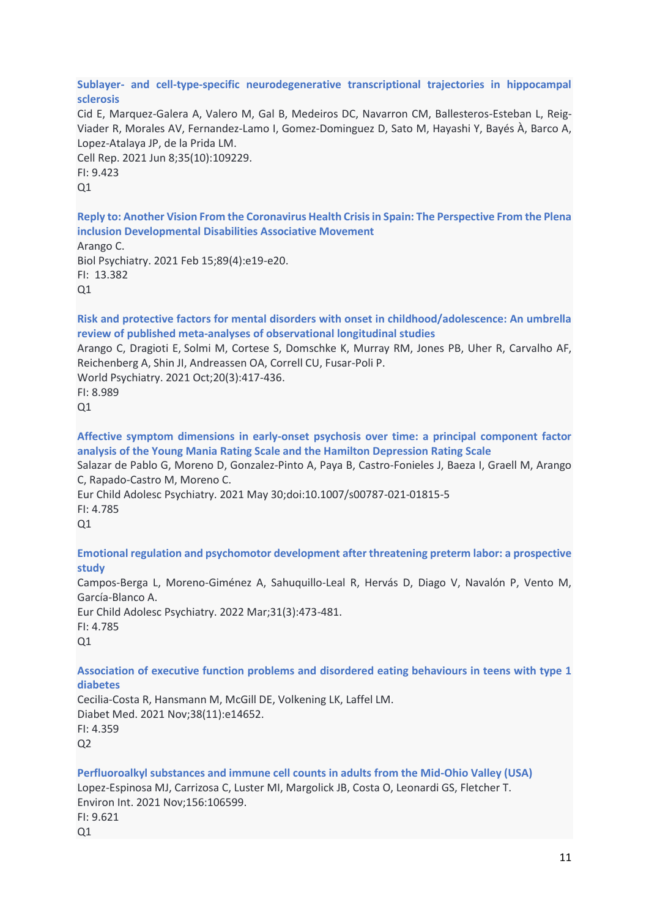#### **Sublayer- and cell-type-specific neurodegenerative transcriptional trajectories in hippocampal sclerosis**

Cid E, Marquez-Galera A, Valero M, Gal B, Medeiros DC, Navarron CM, Ballesteros-Esteban L, Reig-Viader R, Morales AV, Fernandez-Lamo I, Gomez-Dominguez D, Sato M, Hayashi Y, Bayés À, Barco A, Lopez-Atalaya JP, de la Prida LM.

Cell Rep. 2021 Jun 8;35(10):109229. FI: 9.423  $O<sub>1</sub>$ 

**Reply to: Another Vision From the Coronavirus Health Crisis in Spain: The Perspective From the Plena inclusion Developmental Disabilities Associative Movement**

Arango C.

Biol Psychiatry. 2021 Feb 15;89(4):e19-e20. FI: 13.382 Q1

**Risk and protective factors for mental disorders with onset in childhood/adolescence: An umbrella review of published meta-analyses of observational longitudinal studies**

Arango C, Dragioti E, Solmi M, Cortese S, Domschke K, Murray RM, Jones PB, Uher R, Carvalho AF, Reichenberg A, Shin JI, Andreassen OA, Correll CU, Fusar-Poli P.

World Psychiatry. 2021 Oct;20(3):417-436. FI: 8.989

 $Q1$ 

**Affective symptom dimensions in early-onset psychosis over time: a principal component factor analysis of the Young Mania Rating Scale and the Hamilton Depression Rating Scale**

Salazar de Pablo G, Moreno D, Gonzalez-Pinto A, Paya B, Castro-Fonieles J, Baeza I, Graell M, Arango C, Rapado-Castro M, Moreno C.

Eur Child Adolesc Psychiatry. 2021 May 30;doi:10.1007/s00787-021-01815-5 FI: 4.785

 $O<sub>1</sub>$ 

**Emotional regulation and psychomotor development after threatening preterm labor: a prospective study**

Campos-Berga L, Moreno-Giménez A, Sahuquillo-Leal R, Hervás D, Diago V, Navalón P, Vento M, García-Blanco A. Eur Child Adolesc Psychiatry. 2022 Mar;31(3):473-481. FI: 4.785

 $O<sub>1</sub>$ 

**Association of executive function problems and disordered eating behaviours in teens with type 1 diabetes**

Cecilia-Costa R, Hansmann M, McGill DE, Volkening LK, Laffel LM. Diabet Med. 2021 Nov;38(11):e14652. FI: 4.359  $Q<sub>2</sub>$ 

**Perfluoroalkyl substances and immune cell counts in adults from the Mid-Ohio Valley (USA)**

Lopez-Espinosa MJ, Carrizosa C, Luster MI, Margolick JB, Costa O, Leonardi GS, Fletcher T. Environ Int. 2021 Nov;156:106599.

FI: 9.621 Q1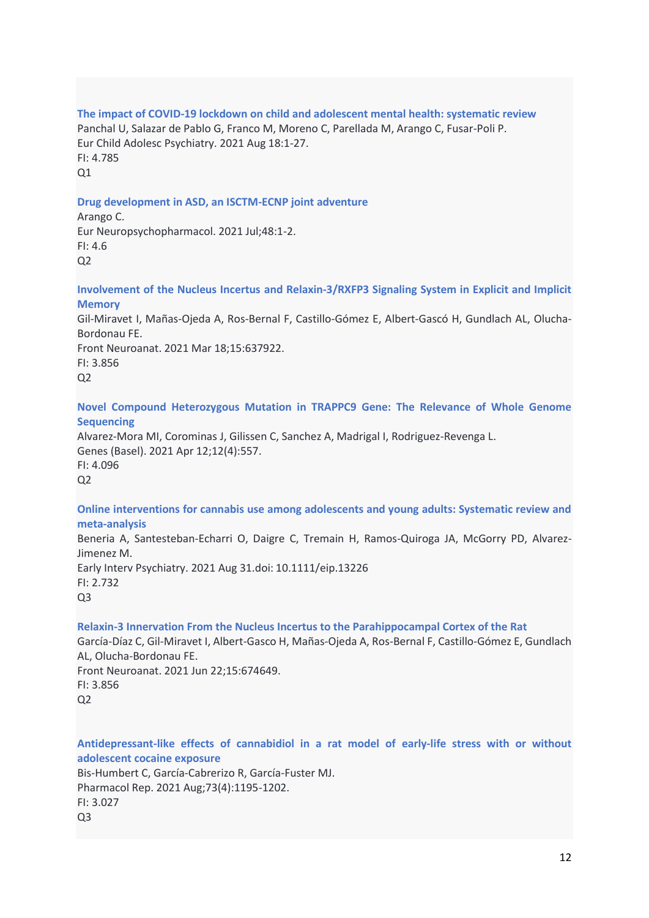# **The impact of COVID-19 lockdown on child and adolescent mental health: systematic review**

Panchal U, Salazar de Pablo G, Franco M, Moreno C, Parellada M, Arango C, Fusar-Poli P. Eur Child Adolesc Psychiatry. 2021 Aug 18:1-27. FI: 4.785

Q1

# **Drug development in ASD, an ISCTM-ECNP joint adventure**

Arango C. Eur Neuropsychopharmacol. 2021 Jul;48:1-2. FI: 4.6  $O<sub>2</sub>$ 

**Involvement of the Nucleus Incertus and Relaxin-3/RXFP3 Signaling System in Explicit and Implicit Memory**

Gil-Miravet I, Mañas-Ojeda A, Ros-Bernal F, Castillo-Gómez E, Albert-Gascó H, Gundlach AL, Olucha-Bordonau FE.

Front Neuroanat. 2021 Mar 18;15:637922. FI: 3.856

 $O<sub>2</sub>$ 

**Novel Compound Heterozygous Mutation in TRAPPC9 Gene: The Relevance of Whole Genome Sequencing**

Alvarez-Mora MI, Corominas J, Gilissen C, Sanchez A, Madrigal I, Rodriguez-Revenga L. Genes (Basel). 2021 Apr 12;12(4):557. FI: 4.096  $Q<sub>2</sub>$ 

## **Online interventions for cannabis use among adolescents and young adults: Systematic review and meta-analysis**

Beneria A, Santesteban-Echarri O, Daigre C, Tremain H, Ramos-Quiroga JA, McGorry PD, Alvarez-Jimenez M. Early Interv Psychiatry. 2021 Aug 31.doi: 10.1111/eip.13226  $FI: 2.732$ 

 $O<sub>3</sub>$ 

# **Relaxin-3 Innervation From the Nucleus Incertus to the Parahippocampal Cortex of the Rat**

García-Díaz C, Gil-Miravet I, Albert-Gasco H, Mañas-Ojeda A, Ros-Bernal F, Castillo-Gómez E, Gundlach AL, Olucha-Bordonau FE. Front Neuroanat. 2021 Jun 22;15:674649.

FI: 3.856  $Q<sub>2</sub>$ 

**Antidepressant-like effects of cannabidiol in a rat model of early-life stress with or without adolescent cocaine exposure**

Bis-Humbert C, García-Cabrerizo R, García-Fuster MJ. Pharmacol Rep. 2021 Aug;73(4):1195-1202. FI: 3.027 Q3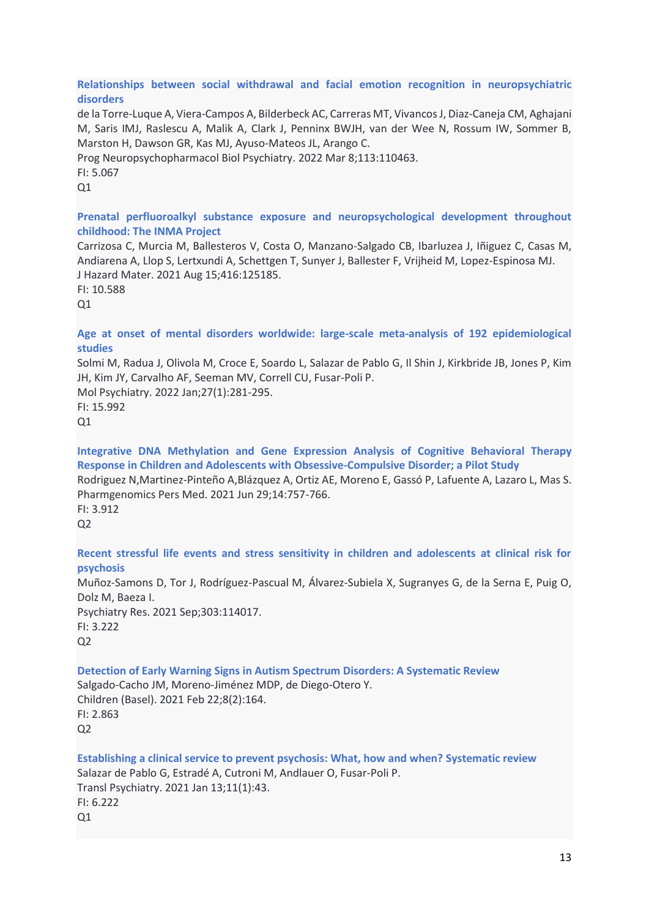## **Relationships between social withdrawal and facial emotion recognition in neuropsychiatric disorders**

de la Torre-Luque A, Viera-Campos A, Bilderbeck AC, Carreras MT, Vivancos J, Diaz-Caneja CM, Aghajani M, Saris IMJ, Raslescu A, Malik A, Clark J, Penninx BWJH, van der Wee N, Rossum IW, Sommer B, Marston H, Dawson GR, Kas MJ, Ayuso-Mateos JL, Arango C.

Prog Neuropsychopharmacol Biol Psychiatry. 2022 Mar 8;113:110463.

FI: 5.067

 $O<sub>1</sub>$ 

## **Prenatal perfluoroalkyl substance exposure and neuropsychological development throughout childhood: The INMA Project**

Carrizosa C, Murcia M, Ballesteros V, Costa O, Manzano-Salgado CB, Ibarluzea J, Iñiguez C, Casas M, Andiarena A, Llop S, Lertxundi A, Schettgen T, Sunyer J, Ballester F, Vrijheid M, Lopez-Espinosa MJ. J Hazard Mater. 2021 Aug 15;416:125185.

FI: 10.588  $O<sub>1</sub>$ 

## **Age at onset of mental disorders worldwide: large-scale meta-analysis of 192 epidemiological studies**

Solmi M, Radua J, Olivola M, Croce E, Soardo L, Salazar de Pablo G, Il Shin J, Kirkbride JB, Jones P, Kim JH, Kim JY, Carvalho AF, Seeman MV, Correll CU, Fusar-Poli P. Mol Psychiatry. 2022 Jan;27(1):281-295.

FI: 15.992 Q1

**Integrative DNA Methylation and Gene Expression Analysis of Cognitive Behavioral Therapy Response in Children and Adolescents with Obsessive-Compulsive Disorder; a Pilot Study** Rodriguez N,Martinez-Pinteño A,Blázquez A, Ortiz AE, Moreno E, Gassó P, Lafuente A, Lazaro L, Mas S. Pharmgenomics Pers Med. 2021 Jun 29;14:757-766. FI: 3.912  $O<sub>2</sub>$ 

# **Recent stressful life events and stress sensitivity in children and adolescents at clinical risk for psychosis**

Muñoz-Samons D, Tor J, Rodríguez-Pascual M, Álvarez-Subiela X, Sugranyes G, de la Serna E, Puig O, Dolz M, Baeza I. Psychiatry Res. 2021 Sep;303:114017. FI: 3.222  $O<sub>2</sub>$ 

#### **Detection of Early Warning Signs in Autism Spectrum Disorders: A Systematic Review** Salgado-Cacho JM, Moreno-Jiménez MDP, de Diego-Otero Y. Children (Basel). 2021 Feb 22;8(2):164. FI: 2.863

Q2

**Establishing a clinical service to prevent psychosis: What, how and when? Systematic review** Salazar de Pablo G, Estradé A, Cutroni M, Andlauer O, Fusar-Poli P. Transl Psychiatry. 2021 Jan 13;11(1):43. FI: 6.222  $Q1$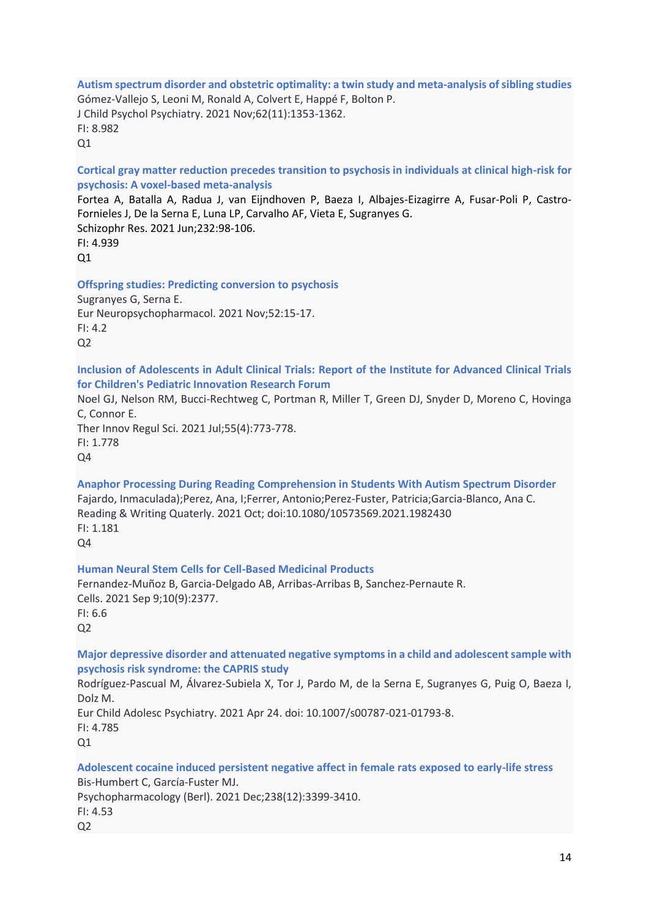**Autism spectrum disorder and obstetric optimality: a twin study and meta-analysis of sibling studies** Gómez-Vallejo S, Leoni M, Ronald A, Colvert E, Happé F, Bolton P. J Child Psychol Psychiatry. 2021 Nov;62(11):1353-1362. FI: 8.982  $O<sub>1</sub>$ 

**Cortical gray matter reduction precedes transition to psychosis in individuals at clinical high-risk for psychosis: A voxel-based meta-analysis**

Fortea A, Batalla A, Radua J, van Eijndhoven P, Baeza I, Albajes-Eizagirre A, Fusar-Poli P, Castro-Fornieles J, De la Serna E, Luna LP, Carvalho AF, Vieta E, Sugranyes G. Schizophr Res. 2021 Jun;232:98-106. FI: 4.939  $O<sub>1</sub>$ 

**Offspring studies: Predicting conversion to psychosis**

Sugranyes G, Serna E. Eur Neuropsychopharmacol. 2021 Nov;52:15-17. FI: 4.2  $O<sub>2</sub>$ 

**Inclusion of Adolescents in Adult Clinical Trials: Report of the Institute for Advanced Clinical Trials for Children's Pediatric Innovation Research Forum**

Noel GJ, Nelson RM, Bucci-Rechtweg C, Portman R, Miller T, Green DJ, Snyder D, Moreno C, Hovinga C, Connor E.

Ther Innov Regul Sci. 2021 Jul;55(4):773-778. FI: 1.778 Q4

**Anaphor Processing During Reading Comprehension in Students With Autism Spectrum Disorder** Fajardo, Inmaculada);Perez, Ana, I;Ferrer, Antonio;Perez-Fuster, Patricia;Garcia-Blanco, Ana C. Reading & Writing Quaterly. 2021 Oct; doi:10.1080/10573569.2021.1982430 FI: 1.181 Q4

**Human Neural Stem Cells for Cell-Based Medicinal Products**

Fernandez-Muñoz B, Garcia-Delgado AB, Arribas-Arribas B, Sanchez-Pernaute R. Cells. 2021 Sep 9;10(9):2377. FI: 6.6  $O<sub>2</sub>$ 

**Major depressive disorder and attenuated negative symptoms in a child and adolescent sample with psychosis risk syndrome: the CAPRIS study**

Rodríguez-Pascual M, Álvarez-Subiela X, Tor J, Pardo M, de la Serna E, Sugranyes G, Puig O, Baeza I, Dolz M.

Eur Child Adolesc Psychiatry. 2021 Apr 24. doi: 10.1007/s00787-021-01793-8.

FI: 4.785

Q1

**Adolescent cocaine induced persistent negative affect in female rats exposed to early-life stress** Bis-Humbert C, García-Fuster MJ.

Psychopharmacology (Berl). 2021 Dec;238(12):3399-3410.

FI: 4.53  $Q<sub>2</sub>$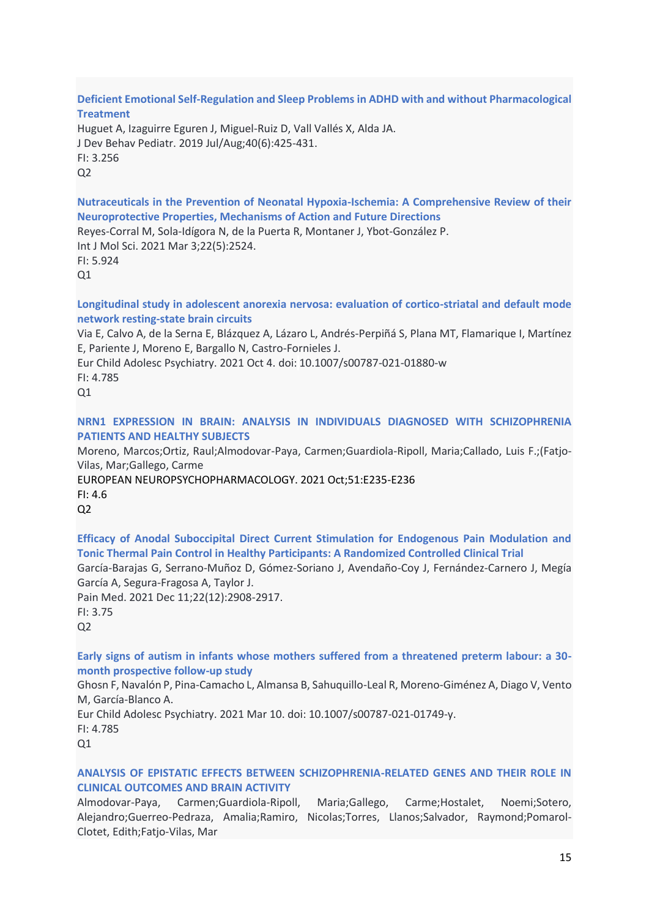**Deficient Emotional Self-Regulation and Sleep Problems in ADHD with and without Pharmacological Treatment**

Huguet A, Izaguirre Eguren J, Miguel-Ruiz D, Vall Vallés X, Alda JA. J Dev Behav Pediatr. 2019 Jul/Aug;40(6):425-431. FI: 3.256  $Q<sub>2</sub>$ 

**Nutraceuticals in the Prevention of Neonatal Hypoxia-Ischemia: A Comprehensive Review of their Neuroprotective Properties, Mechanisms of Action and Future Directions**

Reyes-Corral M, Sola-Idígora N, de la Puerta R, Montaner J, Ybot-González P.

Int J Mol Sci. 2021 Mar 3;22(5):2524. FI: 5.924  $O<sub>1</sub>$ 

**Longitudinal study in adolescent anorexia nervosa: evaluation of cortico-striatal and default mode network resting-state brain circuits**

Via E, Calvo A, de la Serna E, Blázquez A, Lázaro L, Andrés-Perpiñá S, Plana MT, Flamarique I, Martínez E, Pariente J, Moreno E, Bargallo N, Castro-Fornieles J.

Eur Child Adolesc Psychiatry. 2021 Oct 4. doi: 10.1007/s00787-021-01880-w

FI: 4.785

Q1

**NRN1 EXPRESSION IN BRAIN: ANALYSIS IN INDIVIDUALS DIAGNOSED WITH SCHIZOPHRENIA PATIENTS AND HEALTHY SUBJECTS**

Moreno, Marcos;Ortiz, Raul;Almodovar-Paya, Carmen;Guardiola-Ripoll, Maria;Callado, Luis F.;(Fatjo-Vilas, Mar;Gallego, Carme

[EUROPEAN NEUROPSYCHOPHARMACOLOGY.](javascript:void(0)) 2021 Oct;51:E235-E236 FI: 4.6  $Q<sub>2</sub>$ 

**Efficacy of Anodal Suboccipital Direct Current Stimulation for Endogenous Pain Modulation and Tonic Thermal Pain Control in Healthy Participants: A Randomized Controlled Clinical Trial**

García-Barajas G, Serrano-Muñoz D, Gómez-Soriano J, Avendaño-Coy J, Fernández-Carnero J, Megía García A, Segura-Fragosa A, Taylor J.

Pain Med. 2021 Dec 11;22(12):2908-2917. FI: 3.75 Q2

**Early signs of autism in infants whose mothers suffered from a threatened preterm labour: a 30 month prospective follow-up study**

Ghosn F, Navalón P, Pina-Camacho L, Almansa B, Sahuquillo-Leal R, Moreno-Giménez A, Diago V, Vento M, García-Blanco A.

Eur Child Adolesc Psychiatry. 2021 Mar 10. doi: 10.1007/s00787-021-01749-y.

FI: 4.785

Q1

# **ANALYSIS OF EPISTATIC EFFECTS BETWEEN SCHIZOPHRENIA-RELATED GENES AND THEIR ROLE IN CLINICAL OUTCOMES AND BRAIN ACTIVITY**

Almodovar-Paya, Carmen;Guardiola-Ripoll, Maria;Gallego, Carme;Hostalet, Noemi;Sotero, Alejandro;Guerreo-Pedraza, Amalia;Ramiro, Nicolas;Torres, Llanos;Salvador, Raymond;Pomarol-Clotet, Edith;Fatjo-Vilas, Mar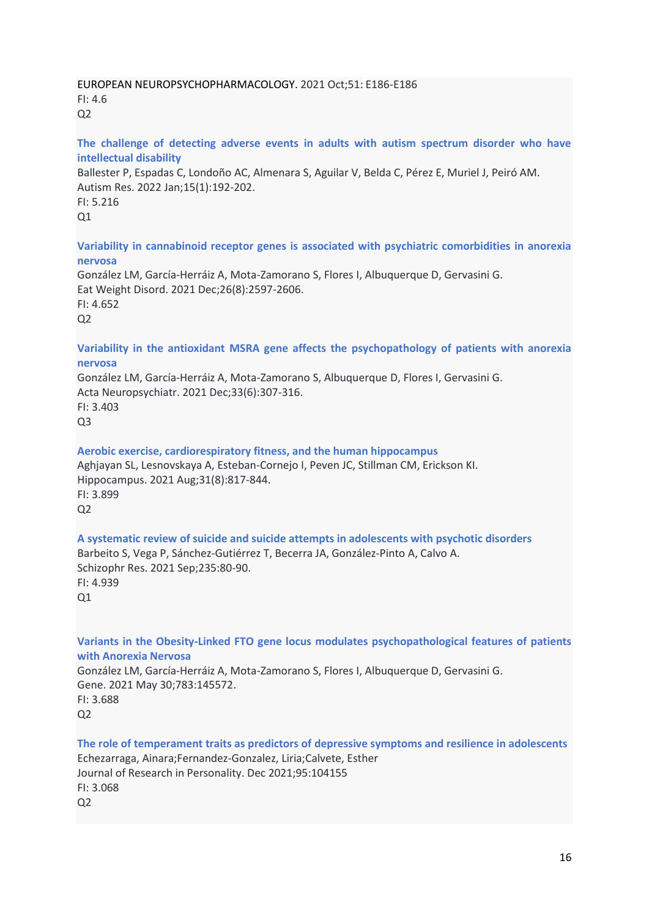#### [EUROPEAN NEUROPSYCHOPHARMACOLOGY.](javascript:void(0)) 2021 Oct;51: E186-E186 FI: 4.6  $Q<sub>2</sub>$

#### **The challenge of detecting adverse events in adults with autism spectrum disorder who have intellectual disability**

Ballester P, Espadas C, Londoño AC, Almenara S, Aguilar V, Belda C, Pérez E, Muriel J, Peiró AM. Autism Res. 2022 Jan;15(1):192-202. FI: 5.216  $Q1$ 

**Variability in cannabinoid receptor genes is associated with psychiatric comorbidities in anorexia nervosa**

González LM, García-Herráiz A, Mota-Zamorano S, Flores I, Albuquerque D, Gervasini G. Eat Weight Disord. 2021 Dec;26(8):2597-2606. FI: 4.652  $O<sub>2</sub>$ 

**Variability in the antioxidant MSRA gene affects the psychopathology of patients with anorexia nervosa**

González LM, García-Herráiz A, Mota-Zamorano S, Albuquerque D, Flores I, Gervasini G. Acta Neuropsychiatr. 2021 Dec;33(6):307-316. FI: 3.403 Q3

**Aerobic exercise, cardiorespiratory fitness, and the human hippocampus** Aghjayan SL, Lesnovskaya A, Esteban-Cornejo I, Peven JC, Stillman CM, Erickson KI. Hippocampus. 2021 Aug;31(8):817-844. FI: 3.899

 $O<sub>2</sub>$ 

**A systematic review of suicide and suicide attempts in adolescents with psychotic disorders** Barbeito S, Vega P, Sánchez-Gutiérrez T, Becerra JA, González-Pinto A, Calvo A. Schizophr Res. 2021 Sep;235:80-90. FI: 4.939  $O<sub>1</sub>$ 

**Variants in the Obesity-Linked FTO gene locus modulates psychopathological features of patients with Anorexia Nervosa**

González LM, García-Herráiz A, Mota-Zamorano S, Flores I, Albuquerque D, Gervasini G. Gene. 2021 May 30;783:145572. FI: 3.688

 $Q<sub>2</sub>$ 

**The role of temperament traits as predictors of depressive symptoms and resilience in adolescents** Echezarraga, Ainara;Fernandez-Gonzalez, Liria;Calvete, Esther Journal of Research in Personality. Dec 2021;95:104155 FI: 3.068  $O<sub>2</sub>$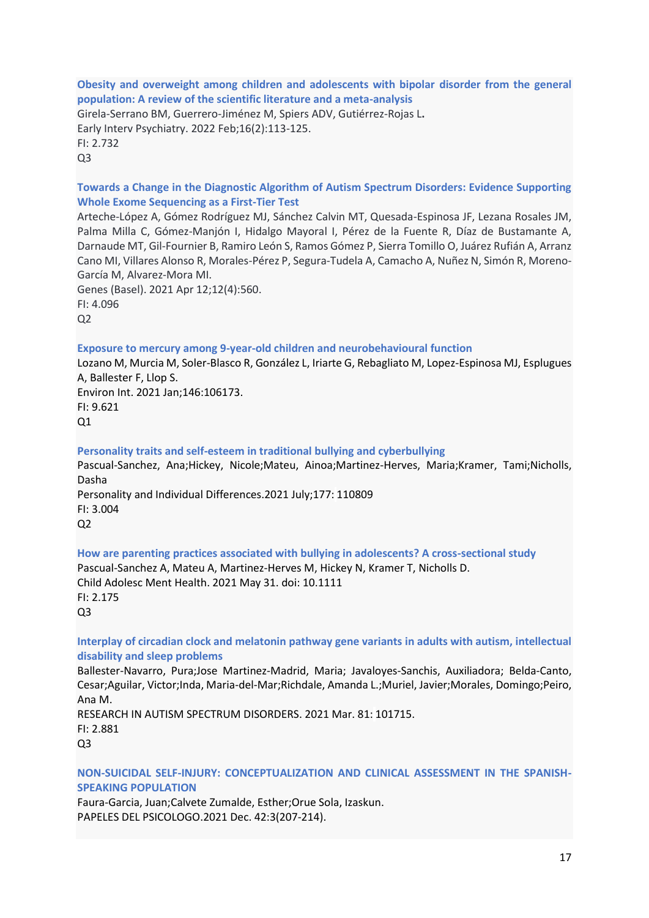## **Obesity and overweight among children and adolescents with bipolar disorder from the general population: A review of the scientific literature and a meta-analysis**

Girela-Serrano BM, Guerrero-Jiménez M, Spiers ADV, Gutiérrez-Rojas L**.** Early Interv Psychiatry. 2022 Feb;16(2):113-125. FI: 2.732 Q3

## **Towards a Change in the Diagnostic Algorithm of Autism Spectrum Disorders: Evidence Supporting Whole Exome Sequencing as a First-Tier Test**

Arteche-López A, Gómez Rodríguez MJ, Sánchez Calvin MT, Quesada-Espinosa JF, Lezana Rosales JM, Palma Milla C, Gómez-Manjón I, Hidalgo Mayoral I, Pérez de la Fuente R, Díaz de Bustamante A, Darnaude MT, Gil-Fournier B, Ramiro León S, Ramos Gómez P, Sierra Tomillo O, Juárez Rufián A, Arranz Cano MI, Villares Alonso R, Morales-Pérez P, Segura-Tudela A, Camacho A, Nuñez N, Simón R, Moreno-García M, Alvarez-Mora MI.

Genes (Basel). 2021 Apr 12;12(4):560. FI: 4.096  $O<sub>2</sub>$ 

#### **Exposure to mercury among 9-year-old children and neurobehavioural function**

Lozano M, Murcia M, Soler-Blasco R, González L, Iriarte G, Rebagliato M, Lopez-Espinosa MJ, Esplugues A, Ballester F, Llop S.

Environ Int. 2021 Jan;146:106173. FI: 9.621  $Q1$ 

#### **Personality traits and self-esteem in traditional bullying and cyberbullying**

Pascual-Sanchez, Ana;Hickey, Nicole;Mateu, Ainoa;Martinez-Herves, Maria;Kramer, Tami;Nicholls, Dasha [Personality and Individual Differences.2](javascript:void(0))021 July;177: 110809 FI: 3.004  $Q<sub>2</sub>$ 

**How are parenting practices associated with bullying in adolescents? A cross-sectional study** Pascual-Sanchez A, Mateu A, Martinez-Herves M, Hickey N, Kramer T, Nicholls D. Child Adolesc Ment Health. 2021 May 31. doi: 10.1111 FI: 2.175 Q3

## **Interplay of circadian clock and melatonin pathway gene variants in adults with autism, intellectual disability and sleep problems**

Ballester-Navarro, Pura;Jose Martinez-Madrid, Maria; Javaloyes-Sanchis, Auxiliadora; Belda-Canto, Cesar;Aguilar, Victor;Inda, Maria-del-Mar;Richdale, Amanda L.;Muriel, Javier;Morales, Domingo;Peiro, Ana M.

RESEARCH IN AUTISM [SPECTRUM DISORDERS.](javascript:void(0)) 2021 Mar. 81: 101715. FI: 2.881 Q3

# **NON-SUICIDAL SELF-INJURY: CONCEPTUALIZATION AND CLINICAL ASSESSMENT IN THE SPANISH-SPEAKING POPULATION**

Faura-Garcia, Juan;Calvete Zumalde, Esther;Orue Sola, Izaskun. [PAPELES DEL PSICOLOGO.](javascript:void(0))2021 Dec. 42:3(207-214).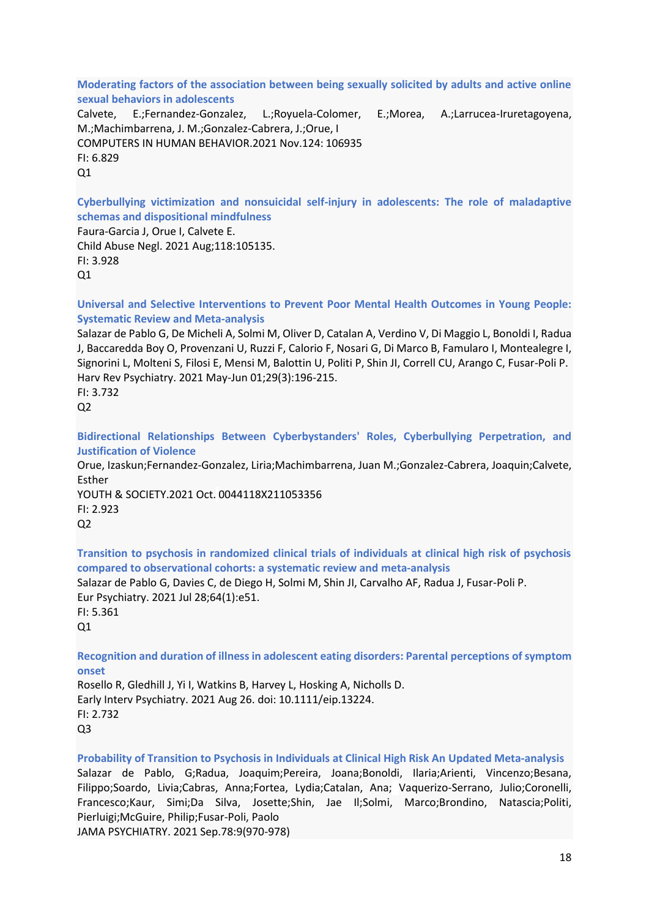**Moderating factors of the association between being sexually solicited by adults and active online sexual behaviors in adolescents**

Calvete, E.;Fernandez-Gonzalez, L.;Royuela-Colomer, E.;Morea, A.;Larrucea-Iruretagoyena, M.;Machimbarrena, J. M.;Gonzalez-Cabrera, J.;Orue, I [COMPUTERS IN HUMAN BEHAVIOR.](javascript:void(0))2021 Nov.124: 106935 FI: 6.829  $O<sub>1</sub>$ 

**Cyberbullying victimization and nonsuicidal self-injury in adolescents: The role of maladaptive schemas and dispositional mindfulness**

Faura-Garcia J, Orue I, Calvete E. Child Abuse Negl. 2021 Aug;118:105135. FI: 3.928  $O<sub>1</sub>$ 

**Universal and Selective Interventions to Prevent Poor Mental Health Outcomes in Young People: Systematic Review and Meta-analysis**

Salazar de Pablo G, De Micheli A, Solmi M, Oliver D, Catalan A, Verdino V, Di Maggio L, Bonoldi I, Radua J, Baccaredda Boy O, Provenzani U, Ruzzi F, Calorio F, Nosari G, Di Marco B, Famularo I, Montealegre I, Signorini L, Molteni S, Filosi E, Mensi M, Balottin U, Politi P, Shin JI, Correll CU, Arango C, Fusar-Poli P. Harv Rev Psychiatry. 2021 May-Jun 01;29(3):196-215.

FI: 3.732  $Q<sub>2</sub>$ 

**Bidirectional Relationships Between Cyberbystanders' Roles, Cyberbullying Perpetration, and Justification of Violence**

Orue, Izaskun;Fernandez-Gonzalez, Liria;Machimbarrena, Juan M.;Gonzalez-Cabrera, Joaquin;Calvete, Esther

[YOUTH & SOCIETY.](javascript:void(0))2021 Oct. 0044118X211053356 FI: 2.923  $Q<sub>2</sub>$ 

**Transition to psychosis in randomized clinical trials of individuals at clinical high risk of psychosis compared to observational cohorts: a systematic review and meta-analysis** Salazar de Pablo G, Davies C, de Diego H, Solmi M, Shin JI, Carvalho AF, Radua J, Fusar-Poli P. Eur Psychiatry. 2021 Jul 28;64(1):e51. FI: 5.361 Q1

**Recognition and duration of illness in adolescent eating disorders: Parental perceptions of symptom onset**

Rosello R, Gledhill J, Yi I, Watkins B, Harvey L, Hosking A, Nicholls D. Early Interv Psychiatry. 2021 Aug 26. doi: 10.1111/eip.13224. FI: 2.732 Q3

**Probability of Transition to Psychosis in Individuals at Clinical High Risk An Updated Meta-analysis** Salazar de Pablo, G;Radua, Joaquim;Pereira, Joana;Bonoldi, Ilaria;Arienti, Vincenzo;Besana, Filippo;Soardo, Livia;Cabras, Anna;Fortea, Lydia;Catalan, Ana; Vaquerizo-Serrano, Julio;Coronelli, Francesco;Kaur, Simi;Da Silva, Josette;Shin, Jae Il;Solmi, Marco;Brondino, Natascia;Politi, Pierluigi;McGuire, Philip;Fusar-Poli, Paolo [JAMA PSYCHIATRY.](javascript:void(0)) 2021 Sep.78:9(970-978)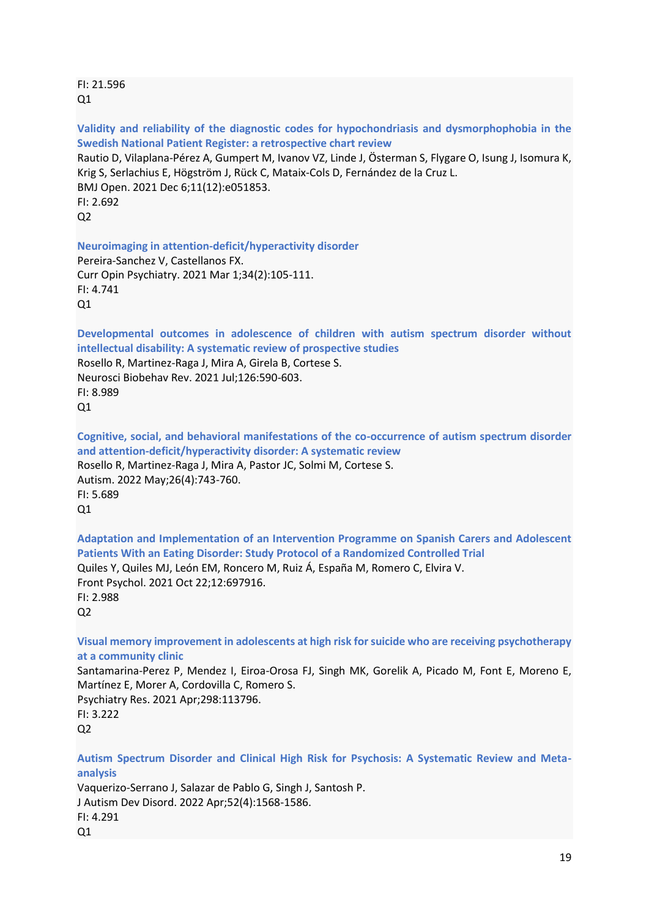FI: 21.596  $O<sub>1</sub>$ 

**Validity and reliability of the diagnostic codes for hypochondriasis and dysmorphophobia in the Swedish National Patient Register: a retrospective chart review**

Rautio D, Vilaplana-Pérez A, Gumpert M, Ivanov VZ, Linde J, Österman S, Flygare O, Isung J, Isomura K, Krig S, Serlachius E, Högström J, Rück C, Mataix-Cols D, Fernández de la Cruz L. BMJ Open. 2021 Dec 6;11(12):e051853. FI: 2.692  $Q<sub>2</sub>$ 

**Neuroimaging in attention-deficit/hyperactivity disorder**

Pereira-Sanchez V, Castellanos FX. Curr Opin Psychiatry. 2021 Mar 1;34(2):105-111. FI: 4.741  $Q1$ 

**Developmental outcomes in adolescence of children with autism spectrum disorder without intellectual disability: A systematic review of prospective studies**

Rosello R, Martinez-Raga J, Mira A, Girela B, Cortese S. Neurosci Biobehav Rev. 2021 Jul;126:590-603. FI: 8.989  $Q1$ 

**Cognitive, social, and behavioral manifestations of the co-occurrence of autism spectrum disorder and attention-deficit/hyperactivity disorder: A systematic review** Rosello R, Martinez-Raga J, Mira A, Pastor JC, Solmi M, Cortese S. Autism. 2022 May;26(4):743-760. FI: 5.689 Q1

**Adaptation and Implementation of an Intervention Programme on Spanish Carers and Adolescent Patients With an Eating Disorder: Study Protocol of a Randomized Controlled Trial** Quiles Y, Quiles MJ, León EM, Roncero M, Ruiz Á, España M, Romero C, Elvira V. Front Psychol. 2021 Oct 22;12:697916. FI: 2.988  $Q<sub>2</sub>$ 

**Visual memory improvement in adolescents at high risk for suicide who are receiving psychotherapy at a community clinic**

Santamarina-Perez P, Mendez I, Eiroa-Orosa FJ, Singh MK, Gorelik A, Picado M, Font E, Moreno E, Martínez E, Morer A, Cordovilla C, Romero S. Psychiatry Res. 2021 Apr;298:113796.

FI: 3.222 Q2

**Autism Spectrum Disorder and Clinical High Risk for Psychosis: A Systematic Review and Metaanalysis**

Vaquerizo-Serrano J, Salazar de Pablo G, Singh J, Santosh P. J Autism Dev Disord. 2022 Apr;52(4):1568-1586. FI: 4.291  $Q1$